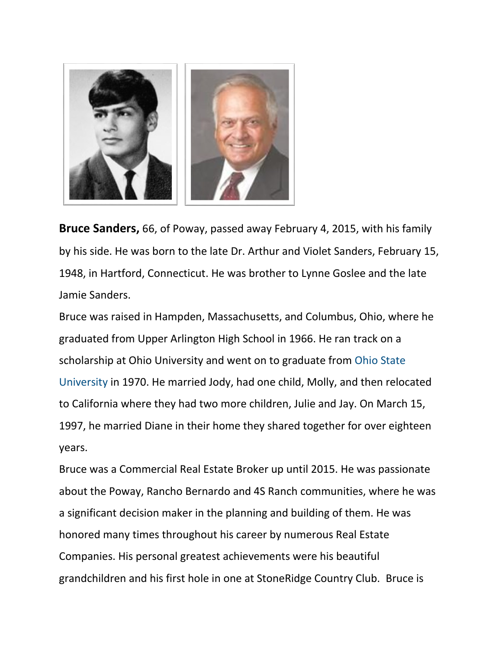

**Bruce Sanders,** 66, of Poway, passed away February 4, 2015, with his family by his side. He was born to the late Dr. Arthur and Violet Sanders, February 15, 1948, in Hartford, Connecticut. He was brother to Lynne Goslee and the late Jamie Sanders.

Bruce was raised in Hampden, Massachusetts, and Columbus, Ohio, where he graduated from Upper Arlington High School in 1966. He ran track on a scholarship at Ohio University and went on to graduate from Ohio State University in 1970. He married Jody, had one child, Molly, and then relocated to California where they had two more children, Julie and Jay. On March 15, 1997, he married Diane in their home they shared together for over eighteen years.

Bruce was a Commercial Real Estate Broker up until 2015. He was passionate about the Poway, Rancho Bernardo and 4S Ranch communities, where he was a significant decision maker in the planning and building of them. He was honored many times throughout his career by numerous Real Estate Companies. His personal greatest achievements were his beautiful grandchildren and his first hole in one at StoneRidge Country Club. Bruce is